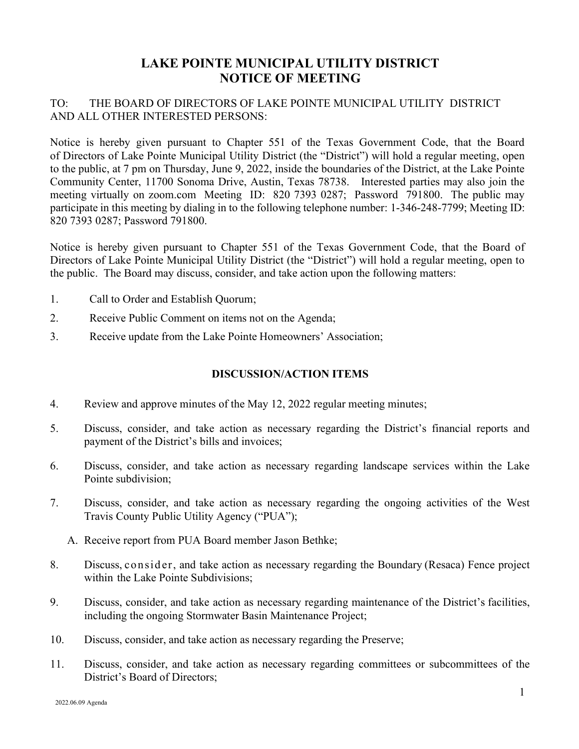## LAKE POINTE MUNICIPAL UTILITY DISTRICT NOTICE OF MEETING

## TO: THE BOARD OF DIRECTORS OF LAKE POINTE MUNICIPAL UTILITY DISTRICT AND ALL OTHER INTERESTED PERSONS:

Notice is hereby given pursuant to Chapter 551 of the Texas Government Code, that the Board of Directors of Lake Pointe Municipal Utility District (the "District") will hold a regular meeting, open to the public, at 7 pm on Thursday, June 9, 2022, inside the boundaries of the District, at the Lake Pointe Community Center, 11700 Sonoma Drive, Austin, Texas 78738. Interested parties may also join the meeting virtually on zoom.com Meeting ID: 820 7393 0287; Password 791800. The public may participate in this meeting by dialing in to the following telephone number: 1-346-248-7799; Meeting ID: 820 7393 0287; Password 791800.

Notice is hereby given pursuant to Chapter 551 of the Texas Government Code, that the Board of Directors of Lake Pointe Municipal Utility District (the "District") will hold a regular meeting, open to the public. The Board may discuss, consider, and take action upon the following matters:

- 1. Call to Order and Establish Quorum;
- 2. Receive Public Comment on items not on the Agenda;
- 3. Receive update from the Lake Pointe Homeowners' Association;

## DISCUSSION/ACTION ITEMS

- 4. Review and approve minutes of the May 12, 2022 regular meeting minutes;
- 5. Discuss, consider, and take action as necessary regarding the District's financial reports and payment of the District's bills and invoices;
- 6. Discuss, consider, and take action as necessary regarding landscape services within the Lake Pointe subdivision;
- 7. Discuss, consider, and take action as necessary regarding the ongoing activities of the West Travis County Public Utility Agency ("PUA");
	- A. Receive report from PUA Board member Jason Bethke;
- 8. Discuss, consid er, and take action as necessary regarding the Boundary (Resaca) Fence project within the Lake Pointe Subdivisions;
- 9. Discuss, consider, and take action as necessary regarding maintenance of the District's facilities, including the ongoing Stormwater Basin Maintenance Project;
- 10. Discuss, consider, and take action as necessary regarding the Preserve;
- 11. Discuss, consider, and take action as necessary regarding committees or subcommittees of the District's Board of Directors;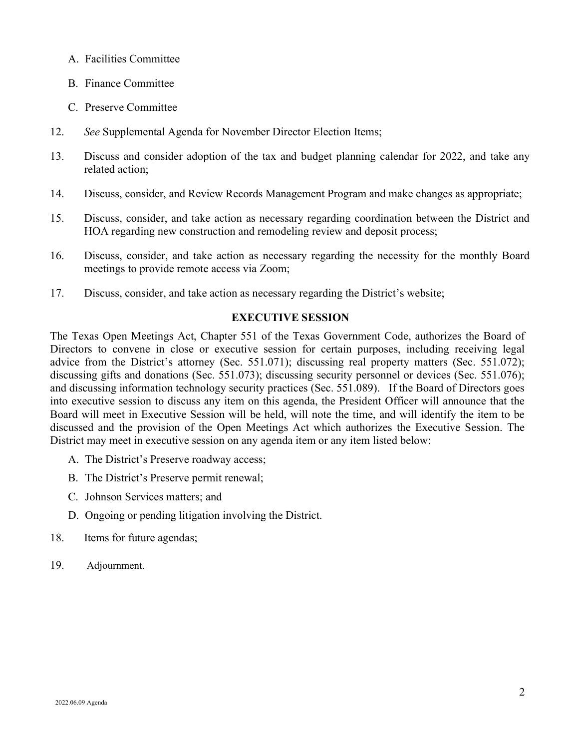- A. Facilities Committee
- B. Finance Committee
- C. Preserve Committee
- 12. See Supplemental Agenda for November Director Election Items;
- 13. Discuss and consider adoption of the tax and budget planning calendar for 2022, and take any related action;
- 14. Discuss, consider, and Review Records Management Program and make changes as appropriate;
- 15. Discuss, consider, and take action as necessary regarding coordination between the District and HOA regarding new construction and remodeling review and deposit process;
- 16. Discuss, consider, and take action as necessary regarding the necessity for the monthly Board meetings to provide remote access via Zoom;
- 17. Discuss, consider, and take action as necessary regarding the District's website;

## EXECUTIVE SESSION

The Texas Open Meetings Act, Chapter 551 of the Texas Government Code, authorizes the Board of Directors to convene in close or executive session for certain purposes, including receiving legal advice from the District's attorney (Sec. 551.071); discussing real property matters (Sec. 551.072); discussing gifts and donations (Sec. 551.073); discussing security personnel or devices (Sec. 551.076); and discussing information technology security practices (Sec. 551.089). If the Board of Directors goes into executive session to discuss any item on this agenda, the President Officer will announce that the Board will meet in Executive Session will be held, will note the time, and will identify the item to be discussed and the provision of the Open Meetings Act which authorizes the Executive Session. The District may meet in executive session on any agenda item or any item listed below:

- A. The District's Preserve roadway access;
- B. The District's Preserve permit renewal;
- C. Johnson Services matters; and
- D. Ongoing or pending litigation involving the District.
- 18. Items for future agendas;
- 19. Adjournment.